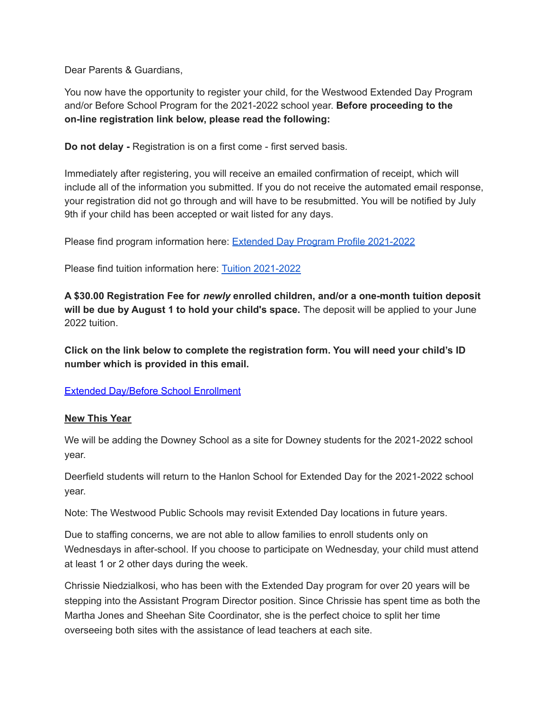Dear Parents & Guardians,

You now have the opportunity to register your child, for the Westwood Extended Day Program and/or Before School Program for the 2021-2022 school year. **Before proceeding to the on-line registration link below, please read the following:**

**Do not delay -** Registration is on a first come - first served basis.

Immediately after registering, you will receive an emailed confirmation of receipt, which will include all of the information you submitted. If you do not receive the automated email response, your registration did not go through and will have to be resubmitted. You will be notified by July 9th if your child has been accepted or wait listed for any days.

Please find program information here: Extended Day Program Profile [2021-2022](http://track.spe.schoolmessenger.com/f/a/VtquRUHHvf--EjoujoD17A~~/AAAAAQA~/RgRiqiT5P0RUaHR0cHM6Ly9kb2NzLmdvb2dsZS5jb20vZG9jdW1lbnQvZC8xR0t6YjlrR0F0T3NRTWxBSFBhYnYwVXJ1eXpQN2RkVHZtTlVodmkzSS1Tay9lZGl0VwdzY2hvb2xtQgpgyHnxyGDhEfZ1Uh9qY2lhbmNpYXJ1bG9Ad2VzdHdvb2QuazEyLm1hLnVzWAQAAAAB)

Please find tuition information here: Tuition [2021-2022](http://track.spe.schoolmessenger.com/f/a/hp5GdYpY_-WajRBX_pIgJA~~/AAAAAQA~/RgRiqiT5P0RUaHR0cHM6Ly9kb2NzLmdvb2dsZS5jb20vZG9jdW1lbnQvZC8xR0JwRFhJZTM0M1FYYmNaQUdHd0FPQnVtLWhIVFVLYmM4d1Y3ZWl4TDRqSS9lZGl0VwdzY2hvb2xtQgpgyHnxyGDhEfZ1Uh9qY2lhbmNpYXJ1bG9Ad2VzdHdvb2QuazEyLm1hLnVzWAQAAAAB)

**A \$30.00 Registration Fee for** *newly* **enrolled children, and/or a one-month tuition deposit will be due by August 1 to hold your child's space.** The deposit will be applied to your June 2022 tuition.

**Click on the link below to complete the registration form. You will need your child's ID number which is provided in this email.**

Extended [Day/Before](http://track.spe.schoolmessenger.com/f/a/A-hmOSaDGl-z9Nf3OyYZhQ~~/AAAAAQA~/RgRiqiT5P0Q3aHR0cDovL3dlYmxpbmsuZG9ub3JwZXJmZWN0LmNvbS9yZWdpc3Rlcl93ZXN0d29vZGV4dGRheVcHc2Nob29sbUIKYMh58chg4RH2dVIfamNpYW5jaWFydWxvQHdlc3R3b29kLmsxMi5tYS51c1gEAAAAAQ~~) School Enrollment

## **New This Year**

We will be adding the Downey School as a site for Downey students for the 2021-2022 school year.

Deerfield students will return to the Hanlon School for Extended Day for the 2021-2022 school year.

Note: The Westwood Public Schools may revisit Extended Day locations in future years.

Due to staffing concerns, we are not able to allow families to enroll students only on Wednesdays in after-school. If you choose to participate on Wednesday, your child must attend at least 1 or 2 other days during the week.

Chrissie Niedzialkosi, who has been with the Extended Day program for over 20 years will be stepping into the Assistant Program Director position. Since Chrissie has spent time as both the Martha Jones and Sheehan Site Coordinator, she is the perfect choice to split her time overseeing both sites with the assistance of lead teachers at each site.